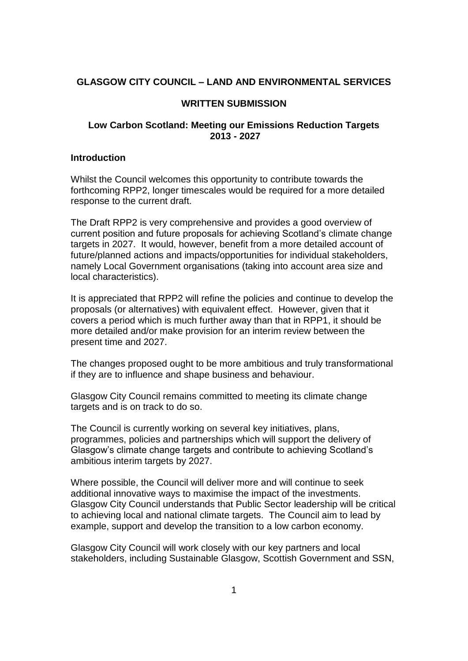## **GLASGOW CITY COUNCIL – LAND AND ENVIRONMENTAL SERVICES**

### **WRITTEN SUBMISSION**

# **Low Carbon Scotland: Meeting our Emissions Reduction Targets 2013 - 2027**

#### **Introduction**

Whilst the Council welcomes this opportunity to contribute towards the forthcoming RPP2, longer timescales would be required for a more detailed response to the current draft.

The Draft RPP2 is very comprehensive and provides a good overview of current position and future proposals for achieving Scotland's climate change targets in 2027. It would, however, benefit from a more detailed account of future/planned actions and impacts/opportunities for individual stakeholders, namely Local Government organisations (taking into account area size and local characteristics).

It is appreciated that RPP2 will refine the policies and continue to develop the proposals (or alternatives) with equivalent effect. However, given that it covers a period which is much further away than that in RPP1, it should be more detailed and/or make provision for an interim review between the present time and 2027.

The changes proposed ought to be more ambitious and truly transformational if they are to influence and shape business and behaviour.

Glasgow City Council remains committed to meeting its climate change targets and is on track to do so.

The Council is currently working on several key initiatives, plans, programmes, policies and partnerships which will support the delivery of Glasgow's climate change targets and contribute to achieving Scotland's ambitious interim targets by 2027.

Where possible, the Council will deliver more and will continue to seek additional innovative ways to maximise the impact of the investments. Glasgow City Council understands that Public Sector leadership will be critical to achieving local and national climate targets. The Council aim to lead by example, support and develop the transition to a low carbon economy.

Glasgow City Council will work closely with our key partners and local stakeholders, including Sustainable Glasgow, Scottish Government and SSN,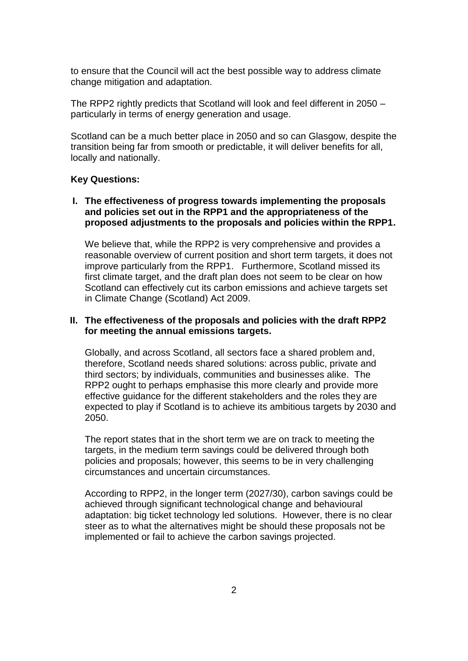to ensure that the Council will act the best possible way to address climate change mitigation and adaptation.

The RPP2 rightly predicts that Scotland will look and feel different in 2050 – particularly in terms of energy generation and usage.

Scotland can be a much better place in 2050 and so can Glasgow, despite the transition being far from smooth or predictable, it will deliver benefits for all, locally and nationally.

### **Key Questions:**

**I. The effectiveness of progress towards implementing the proposals and policies set out in the RPP1 and the appropriateness of the proposed adjustments to the proposals and policies within the RPP1.**

We believe that, while the RPP2 is very comprehensive and provides a reasonable overview of current position and short term targets, it does not improve particularly from the RPP1. Furthermore, Scotland missed its first climate target, and the draft plan does not seem to be clear on how Scotland can effectively cut its carbon emissions and achieve targets set in Climate Change (Scotland) Act 2009.

## **II. The effectiveness of the proposals and policies with the draft RPP2 for meeting the annual emissions targets.**

Globally, and across Scotland, all sectors face a shared problem and, therefore, Scotland needs shared solutions: across public, private and third sectors; by individuals, communities and businesses alike. The RPP2 ought to perhaps emphasise this more clearly and provide more effective guidance for the different stakeholders and the roles they are expected to play if Scotland is to achieve its ambitious targets by 2030 and 2050.

The report states that in the short term we are on track to meeting the targets, in the medium term savings could be delivered through both policies and proposals; however, this seems to be in very challenging circumstances and uncertain circumstances.

According to RPP2, in the longer term (2027/30), carbon savings could be achieved through significant technological change and behavioural adaptation: big ticket technology led solutions. However, there is no clear steer as to what the alternatives might be should these proposals not be implemented or fail to achieve the carbon savings projected.